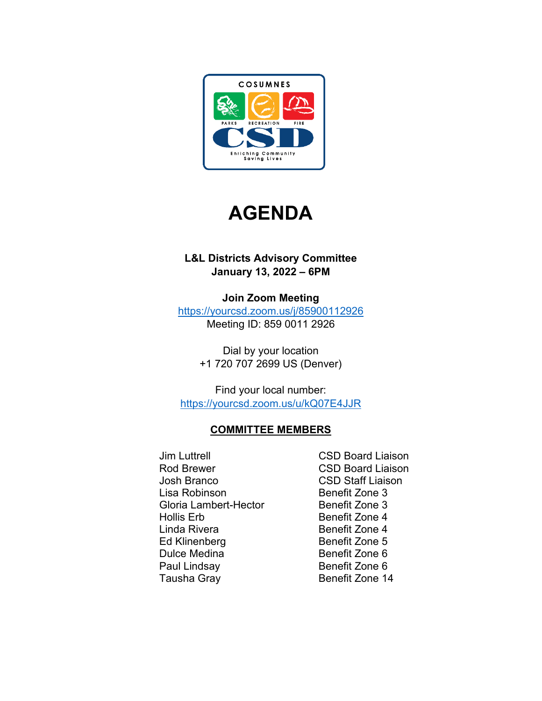



## **L&L Districts Advisory Committee January 13, 2022 – 6PM**

**Join Zoom Meeting** <https://yourcsd.zoom.us/j/85900112926> Meeting ID: 859 0011 2926

> Dial by your location +1 720 707 2699 US (Denver)

Find your local number: <https://yourcsd.zoom.us/u/kQ07E4JJR>

# **COMMITTEE MEMBERS**

- Jim Luttrell CSD Board Liaison Rod Brewer **CSD Board Liaison** Josh Branco CSD Staff Liaison Lisa Robinson **Benefit Zone 3** Gloria Lambert-Hector Benefit Zone 3 Hollis Erb Benefit Zone 4 Linda Rivera **Benefit Zone 4** Ed Klinenberg Benefit Zone 5 Dulce Medina Benefit Zone 6 Paul Lindsay Benefit Zone 6 Tausha Gray **Benefit Zone 14** 
	-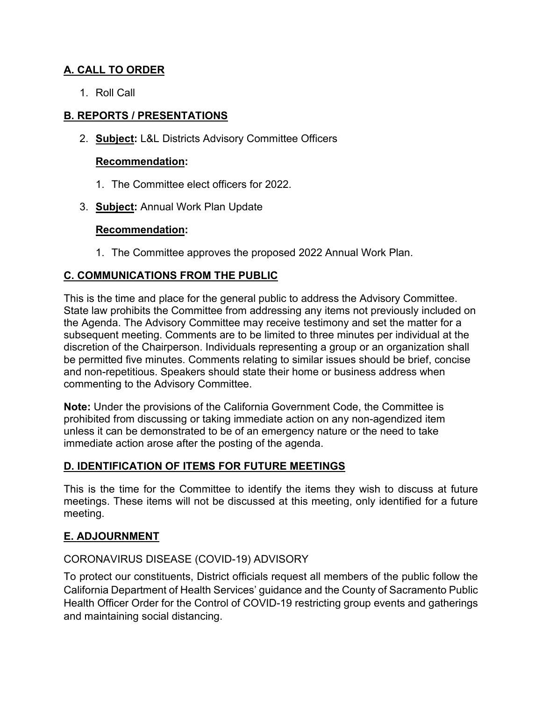## **A. CALL TO ORDER**

1. Roll Call

## **B. REPORTS / PRESENTATIONS**

2. **Subject:** L&L Districts Advisory Committee Officers

#### **Recommendation:**

- 1. The Committee elect officers for 2022.
- 3. **Subject:** Annual Work Plan Update

## **Recommendation:**

1. The Committee approves the proposed 2022 Annual Work Plan.

## **C. COMMUNICATIONS FROM THE PUBLIC**

This is the time and place for the general public to address the Advisory Committee. State law prohibits the Committee from addressing any items not previously included on the Agenda. The Advisory Committee may receive testimony and set the matter for a subsequent meeting. Comments are to be limited to three minutes per individual at the discretion of the Chairperson. Individuals representing a group or an organization shall be permitted five minutes. Comments relating to similar issues should be brief, concise and non-repetitious. Speakers should state their home or business address when commenting to the Advisory Committee.

**Note:** Under the provisions of the California Government Code, the Committee is prohibited from discussing or taking immediate action on any non-agendized item unless it can be demonstrated to be of an emergency nature or the need to take immediate action arose after the posting of the agenda.

## **D. IDENTIFICATION OF ITEMS FOR FUTURE MEETINGS**

This is the time for the Committee to identify the items they wish to discuss at future meetings. These items will not be discussed at this meeting, only identified for a future meeting.

## **E. ADJOURNMENT**

## CORONAVIRUS DISEASE (COVID-19) ADVISORY

To protect our constituents, District officials request all members of the public follow the California Department of Health Services' guidance and the County of Sacramento Public Health Officer Order for the Control of COVID-19 restricting group events and gatherings and maintaining social distancing.